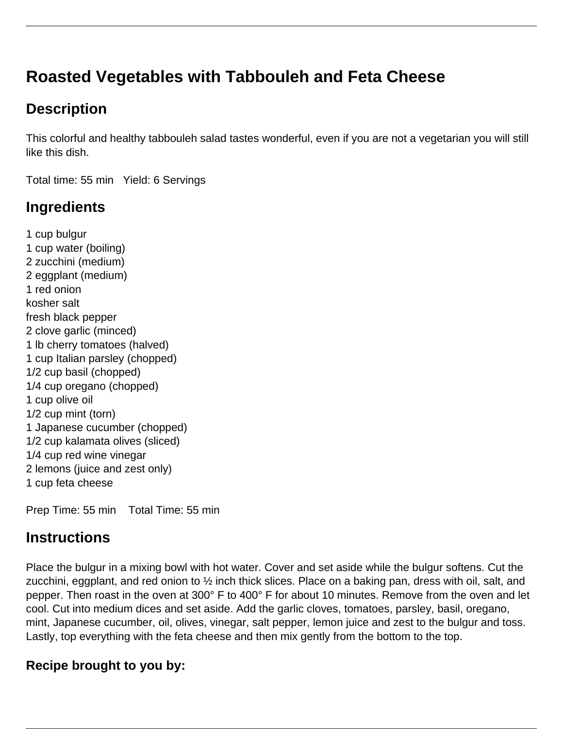# **Roasted Vegetables with Tabbouleh and Feta Cheese**

## **Description**

This colorful and healthy tabbouleh salad tastes wonderful, even if you are not a vegetarian you will still like this dish.

Total time: 55 min Yield: 6 Servings

## **Ingredients**

1 cup bulgur 1 cup water (boiling) 2 zucchini (medium) 2 eggplant (medium) 1 red onion kosher salt fresh black pepper 2 clove garlic (minced) 1 lb cherry tomatoes (halved) 1 cup Italian parsley (chopped) 1/2 cup basil (chopped) 1/4 cup oregano (chopped) 1 cup olive oil 1/2 cup mint (torn) 1 Japanese cucumber (chopped) 1/2 cup kalamata olives (sliced) 1/4 cup red wine vinegar 2 lemons (juice and zest only) 1 cup feta cheese

Prep Time: 55 min Total Time: 55 min

#### **Instructions**

Place the bulgur in a mixing bowl with hot water. Cover and set aside while the bulgur softens. Cut the zucchini, eggplant, and red onion to ½ inch thick slices. Place on a baking pan, dress with oil, salt, and pepper. Then roast in the oven at 300° F to 400° F for about 10 minutes. Remove from the oven and let cool. Cut into medium dices and set aside. Add the garlic cloves, tomatoes, parsley, basil, oregano, mint, Japanese cucumber, oil, olives, vinegar, salt pepper, lemon juice and zest to the bulgur and toss. Lastly, top everything with the feta cheese and then mix gently from the bottom to the top.

#### **Recipe brought to you by:**